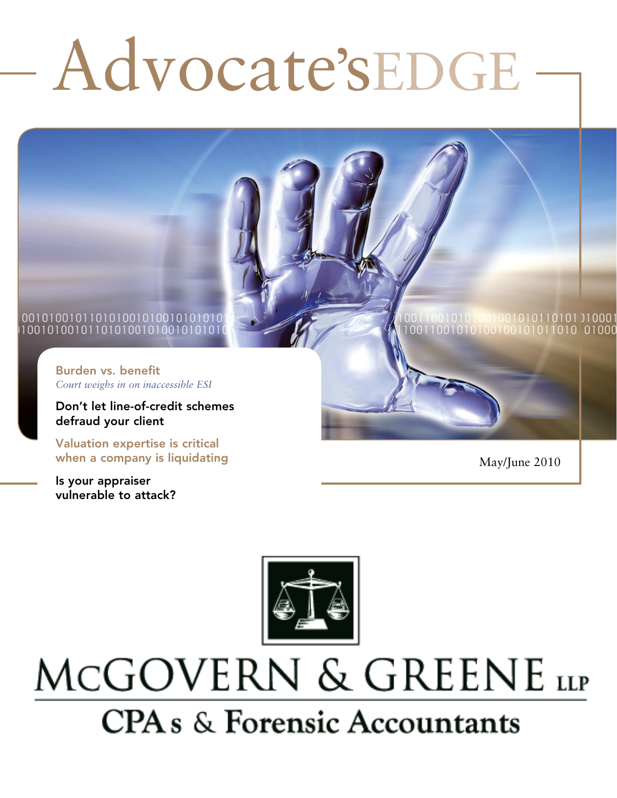# Advocate'sEDGE

#### 001010010110101001010010101010 100101001011010100101001010101

Burden vs. benefit *Court weighs in on inaccessible ESI*

Don't let line-of-credit schemes defraud your client

Valuation expertise is critical when a company is liquidating

Is your appraiser vulnerable to attack?

May/June 2010



# MCGOVERN & GREENE LLP **CPA** s & Forensic Accountants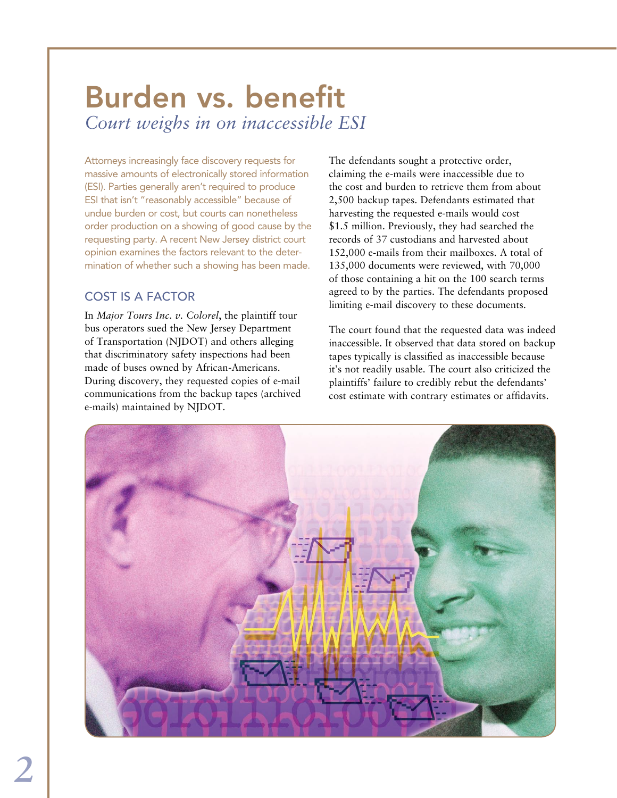### Burden vs. benefit *Court weighs in on inaccessible ESI*

Attorneys increasingly face discovery requests for massive amounts of electronically stored information (ESI). Parties generally aren't required to produce ESI that isn't "reasonably accessible" because of undue burden or cost, but courts can nonetheless order production on a showing of good cause by the requesting party. A recent New Jersey district court opinion examines the factors relevant to the determination of whether such a showing has been made.

#### Cost is a factor

In *Major Tours Inc. v. Colorel*, the plaintiff tour bus operators sued the New Jersey Department of Transportation (NJDOT) and others alleging that discriminatory safety inspections had been made of buses owned by African-Americans. During discovery, they requested copies of e-mail communications from the backup tapes (archived e-mails) maintained by NJDOT.

The defendants sought a protective order, claiming the e-mails were inaccessible due to the cost and burden to retrieve them from about 2,500 backup tapes. Defendants estimated that harvesting the requested e-mails would cost \$1.5 million. Previously, they had searched the records of 37 custodians and harvested about 152,000 e-mails from their mailboxes. A total of 135,000 documents were reviewed, with 70,000 of those containing a hit on the 100 search terms agreed to by the parties. The defendants proposed limiting e-mail discovery to these documents.

The court found that the requested data was indeed inaccessible. It observed that data stored on backup tapes typically is classified as inaccessible because it's not readily usable. The court also criticized the plaintiffs' failure to credibly rebut the defendants' cost estimate with contrary estimates or affidavits.

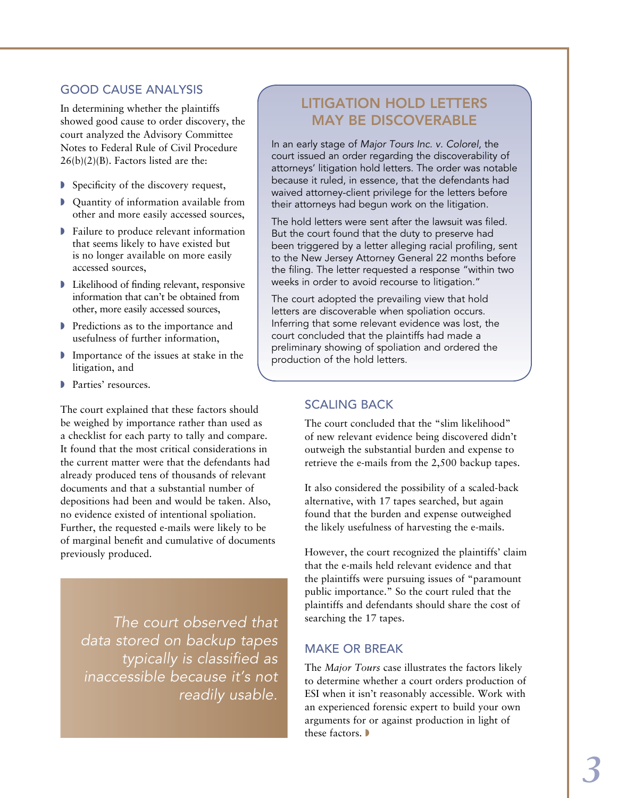#### Good cause analysis

In determining whether the plaintiffs showed good cause to order discovery, the court analyzed the Advisory Committee Notes to Federal Rule of Civil Procedure  $26(b)(2)(B)$ . Factors listed are the:

- $\triangleright$  Specificity of the discovery request,
- **D** Quantity of information available from other and more easily accessed sources,
- $\blacktriangleright$  Failure to produce relevant information that seems likely to have existed but is no longer available on more easily accessed sources,
- $\blacktriangleright$  Likelihood of finding relevant, responsive information that can't be obtained from other, more easily accessed sources,
- **Predictions as to the importance and** usefulness of further information,
- $\blacksquare$  Importance of the issues at stake in the litigation, and
- Parties' resources.

The court explained that these factors should be weighed by importance rather than used as a checklist for each party to tally and compare. It found that the most critical considerations in the current matter were that the defendants had already produced tens of thousands of relevant documents and that a substantial number of depositions had been and would be taken. Also, no evidence existed of intentional spoliation. Further, the requested e-mails were likely to be of marginal benefit and cumulative of documents previously produced.

*The court observed that data stored on backup tapes typically is classified as inaccessible because it's not readily usable.* 

#### Litigation hold letters may be discoverable

In an early stage of *Major Tours Inc. v. Colorel*, the court issued an order regarding the discoverability of attorneys' litigation hold letters. The order was notable because it ruled, in essence, that the defendants had waived attorney-client privilege for the letters before their attorneys had begun work on the litigation.

The hold letters were sent after the lawsuit was filed. But the court found that the duty to preserve had been triggered by a letter alleging racial profiling, sent to the New Jersey Attorney General 22 months before the filing. The letter requested a response "within two weeks in order to avoid recourse to litigation."

The court adopted the prevailing view that hold letters are discoverable when spoliation occurs. Inferring that some relevant evidence was lost, the court concluded that the plaintiffs had made a preliminary showing of spoliation and ordered the production of the hold letters.

#### Scaling back

The court concluded that the "slim likelihood" of new relevant evidence being discovered didn't outweigh the substantial burden and expense to retrieve the e-mails from the 2,500 backup tapes.

It also considered the possibility of a scaled-back alternative, with 17 tapes searched, but again found that the burden and expense outweighed the likely usefulness of harvesting the e-mails.

However, the court recognized the plaintiffs' claim that the e-mails held relevant evidence and that the plaintiffs were pursuing issues of "paramount public importance." So the court ruled that the plaintiffs and defendants should share the cost of searching the 17 tapes.

#### Make or break

The *Major Tours* case illustrates the factors likely to determine whether a court orders production of ESI when it isn't reasonably accessible. Work with an experienced forensic expert to build your own arguments for or against production in light of these factors.  $\blacktriangleright$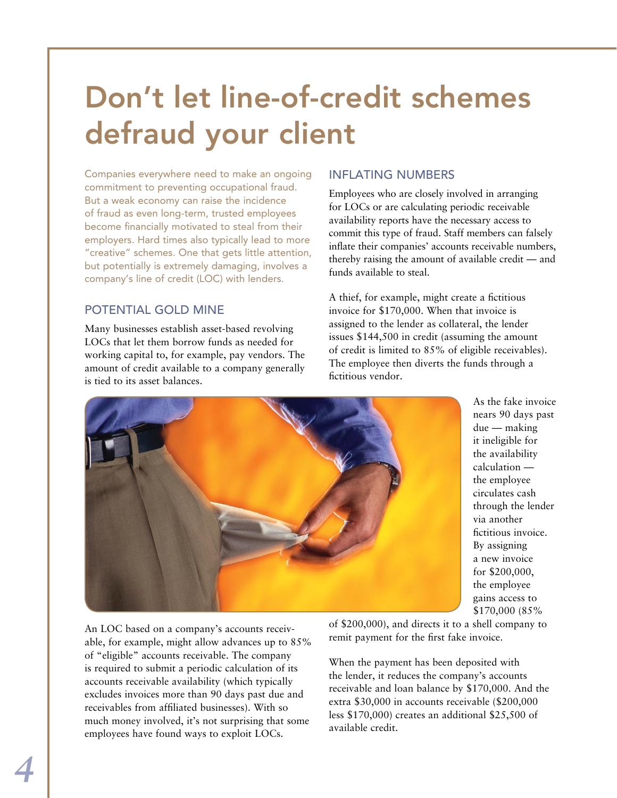# Don't let line-of-credit schemes defraud your client

Companies everywhere need to make an ongoing commitment to preventing occupational fraud. But a weak economy can raise the incidence of fraud as even long-term, trusted employees become financially motivated to steal from their employers. Hard times also typically lead to more "creative" schemes. One that gets little attention, but potentially is extremely damaging, involves a company's line of credit (LOC) with lenders.

#### POTENTIAL GOLD MINE

Many businesses establish asset-based revolving LOCs that let them borrow funds as needed for working capital to, for example, pay vendors. The amount of credit available to a company generally is tied to its asset balances.

#### Inflating numbers

Employees who are closely involved in arranging for LOCs or are calculating periodic receivable availability reports have the necessary access to commit this type of fraud. Staff members can falsely inflate their companies' accounts receivable numbers, thereby raising the amount of available credit — and funds available to steal.

A thief, for example, might create a fictitious invoice for \$170,000. When that invoice is assigned to the lender as collateral, the lender issues \$144,500 in credit (assuming the amount of credit is limited to 85% of eligible receivables). The employee then diverts the funds through a fictitious vendor.



As the fake invoice nears 90 days past due — making it ineligible for the availability calculation the employee circulates cash through the lender via another fictitious invoice. By assigning a new invoice for \$200,000, the employee gains access to \$170,000 (85%

An LOC based on a company's accounts receivable, for example, might allow advances up to 85% of "eligible" accounts receivable. The company is required to submit a periodic calculation of its accounts receivable availability (which typically excludes invoices more than 90 days past due and receivables from affiliated businesses). With so much money involved, it's not surprising that some employees have found ways to exploit LOCs.

of \$200,000), and directs it to a shell company to remit payment for the first fake invoice.

When the payment has been deposited with the lender, it reduces the company's accounts receivable and loan balance by \$170,000. And the extra \$30,000 in accounts receivable (\$200,000 less \$170,000) creates an additional \$25,500 of available credit.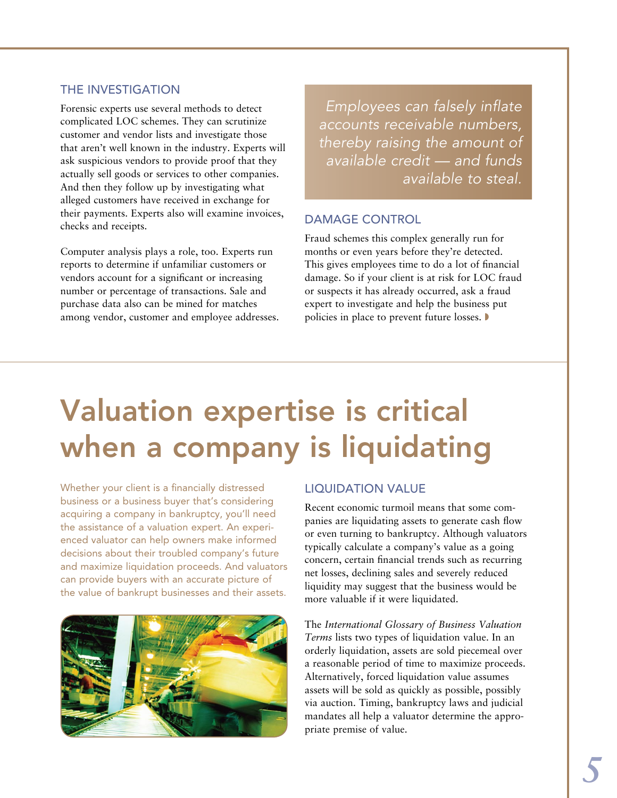#### The investigation

Forensic experts use several methods to detect complicated LOC schemes. They can scrutinize customer and vendor lists and investigate those that aren't well known in the industry. Experts will ask suspicious vendors to provide proof that they actually sell goods or services to other companies. And then they follow up by investigating what alleged customers have received in exchange for their payments. Experts also will examine invoices, checks and receipts.

Computer analysis plays a role, too. Experts run reports to determine if unfamiliar customers or vendors account for a significant or increasing number or percentage of transactions. Sale and purchase data also can be mined for matches among vendor, customer and employee addresses.

*Employees can falsely inflate accounts receivable numbers, thereby raising the amount of available credit — and funds available to steal.*

#### Damage control

Fraud schemes this complex generally run for months or even years before they're detected. This gives employees time to do a lot of financial damage. So if your client is at risk for LOC fraud or suspects it has already occurred, ask a fraud expert to investigate and help the business put policies in place to prevent future losses.

# Valuation expertise is critical when a company is liquidating

Whether your client is a financially distressed business or a business buyer that's considering acquiring a company in bankruptcy, you'll need the assistance of a valuation expert. An experienced valuator can help owners make informed decisions about their troubled company's future and maximize liquidation proceeds. And valuators can provide buyers with an accurate picture of the value of bankrupt businesses and their assets.



#### Liquidation value

Recent economic turmoil means that some companies are liquidating assets to generate cash flow or even turning to bankruptcy. Although valuators typically calculate a company's value as a going concern, certain financial trends such as recurring net losses, declining sales and severely reduced liquidity may suggest that the business would be more valuable if it were liquidated.

The *International Glossary of Business Valuation Terms* lists two types of liquidation value. In an orderly liquidation, assets are sold piecemeal over a reasonable period of time to maximize proceeds. Alternatively, forced liquidation value assumes assets will be sold as quickly as possible, possibly via auction. Timing, bankruptcy laws and judicial mandates all help a valuator determine the appropriate premise of value.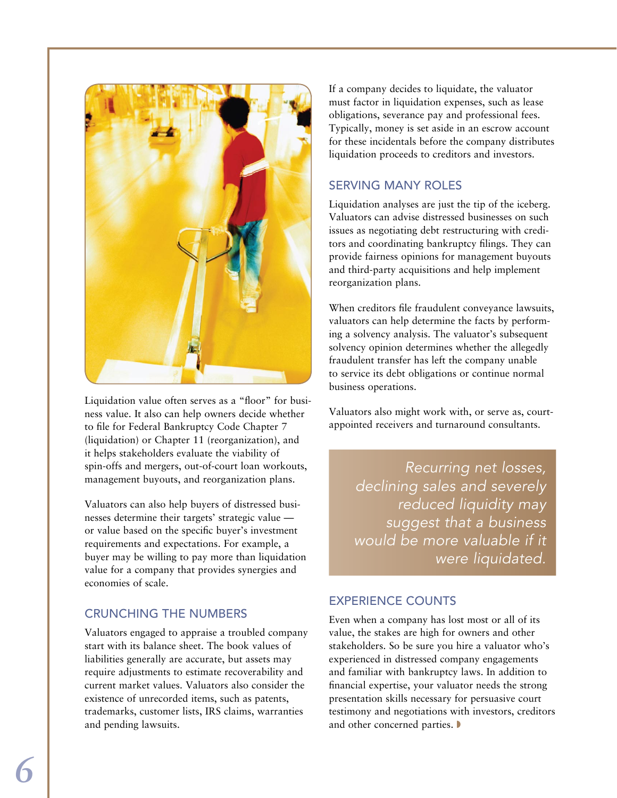

Liquidation value often serves as a "floor" for business value. It also can help owners decide whether to file for Federal Bankruptcy Code Chapter 7 (liquidation) or Chapter 11 (reorganization), and it helps stakeholders evaluate the viability of spin-offs and mergers, out-of-court loan workouts, management buyouts, and reorganization plans.

Valuators can also help buyers of distressed businesses determine their targets' strategic value or value based on the specific buyer's investment requirements and expectations. For example, a buyer may be willing to pay more than liquidation value for a company that provides synergies and economies of scale.

#### Crunching the numbers

Valuators engaged to appraise a troubled company start with its balance sheet. The book values of liabilities generally are accurate, but assets may require adjustments to estimate recoverability and current market values. Valuators also consider the existence of unrecorded items, such as patents, trademarks, customer lists, IRS claims, warranties and pending lawsuits.

If a company decides to liquidate, the valuator must factor in liquidation expenses, such as lease obligations, severance pay and professional fees. Typically, money is set aside in an escrow account for these incidentals before the company distributes liquidation proceeds to creditors and investors.

#### Serving many roles

Liquidation analyses are just the tip of the iceberg. Valuators can advise distressed businesses on such issues as negotiating debt restructuring with creditors and coordinating bankruptcy filings. They can provide fairness opinions for management buyouts and third-party acquisitions and help implement reorganization plans.

When creditors file fraudulent conveyance lawsuits, valuators can help determine the facts by performing a solvency analysis. The valuator's subsequent solvency opinion determines whether the allegedly fraudulent transfer has left the company unable to service its debt obligations or continue normal business operations.

Valuators also might work with, or serve as, courtappointed receivers and turnaround consultants.

> *Recurring net losses, declining sales and severely reduced liquidity may suggest that a business would be more valuable if it were liquidated.*

#### Experience counts

Even when a company has lost most or all of its value, the stakes are high for owners and other stakeholders. So be sure you hire a valuator who's experienced in distressed company engagements and familiar with bankruptcy laws. In addition to financial expertise, your valuator needs the strong presentation skills necessary for persuasive court testimony and negotiations with investors, creditors and other concerned parties.